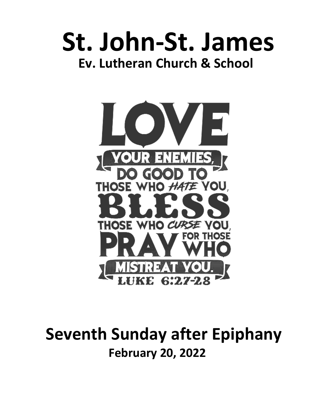# **St. John-St. James Ev. Lutheran Church & School**



# **Seventh Sunday after Epiphany February 20, 2022**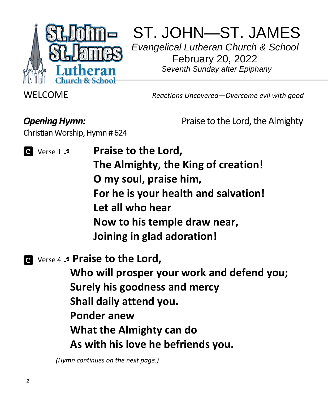

ST. JOHN—ST. JAMES *Evangelical Lutheran Church & School*  February 20, 2022

 *Seventh Sunday after Epiphany*

WELCOME *Reactions Uncovered—Overcome evil with good*

Christian Worship, Hymn # 624

**Opening Hymn: Praise to the Lord, the Almighty** 

- *Q* Verse 1 *p Praise to the Lord,* **The Almighty, the King of creation! O my soul, praise him, For he is your health and salvation! Let all who hear Now to his temple draw near, Joining in glad adoration!**
- Verse 4 **Praise to the Lord,**

**Who will prosper your work and defend you; Surely his goodness and mercy Shall daily attend you. Ponder anew What the Almighty can do As with his love he befriends you.**

 *(Hymn continues on the next page.)*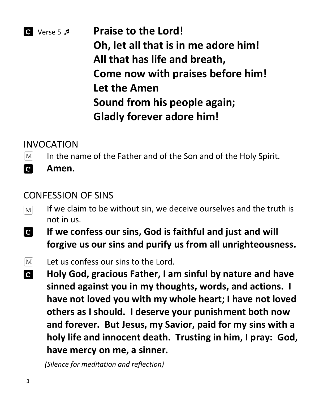# $\bullet$  Verse 5 *p* **Praise to the Lord! Oh, let all that is in me adore him! All that has life and breath, Come now with praises before him! Let the Amen Sound from his people again; Gladly forever adore him!**

# INVOCATION

- In the name of the Father and of the Son and of the Holy Spirit.  $|M|$
- $\mathbf{c}$ **Amen.**

### CONFESSION OF SINS

- If we claim to be without sin, we deceive ourselves and the truth is  $|M|$ not in us.
- $\overline{\mathbf{c}}$ **If we confess our sins, God is faithful and just and will forgive us our sins and purify us from all unrighteousness.**
- $\vert M \vert$ Let us confess our sins to the Lord.
- **Holy God, gracious Father, I am sinful by nature and have**   $|{\bf c}|$ **sinned against you in my thoughts, words, and actions. I have not loved you with my whole heart; I have not loved others as I should. I deserve your punishment both now and forever. But Jesus, my Savior, paid for my sins with a holy life and innocent death. Trusting in him, I pray: God, have mercy on me, a sinner.**

 *(Silence for meditation and reflection)*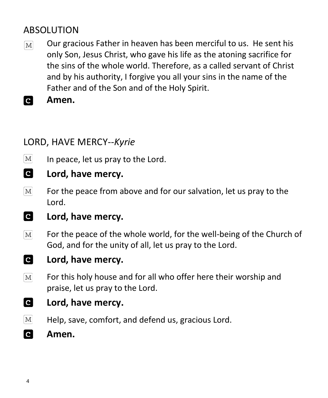# ABSOLUTION

- Our gracious Father in heaven has been merciful to us. He sent his  $[M]$ only Son, Jesus Christ, who gave his life as the atoning sacrifice for the sins of the whole world. Therefore, as a called servant of Christ and by his authority, I forgive you all your sins in the name of the Father and of the Son and of the Holy Spirit.
- **C Amen.**

# LORD, HAVE MERCY*--Kyrie*

- $\lceil \text{M} \rceil$ In peace, let us pray to the Lord.
- **C Lord, have mercy.**
- $\boxed{\text{M}}$ For the peace from above and for our salvation, let us pray to the Lord.
- **C Lord, have mercy.**
- $\boxed{\text{M}}$ For the peace of the whole world, for the well-being of the Church of God, and for the unity of all, let us pray to the Lord.
- $\overline{c}$ **Lord, have mercy.**
- $\boxed{\text{M}}$ For this holy house and for all who offer here their worship and praise, let us pray to the Lord.
- $\overline{c}$ **Lord, have mercy.**
- $\vert\mathrm{M}\vert$ Help, save, comfort, and defend us, gracious Lord.
- $\overline{c}$ **Amen.**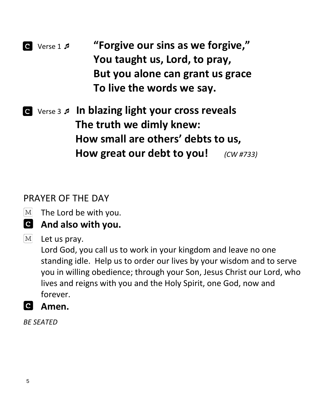- Verse 1  **"Forgive our sins as we forgive," You taught us, Lord, to pray, But you alone can grant us grace To live the words we say.**
- Verse 3  **In blazing light your cross reveals The truth we dimly knew: How small are others' debts to us, How great our debt to you!** *(CW #733)*

# PRAYER OF THE DAY

- $|M|$ The Lord be with you.
- **And also with you.**
- $M<sub>l</sub>$ Let us pray.

Lord God, you call us to work in your kingdom and leave no one standing idle. Help us to order our lives by your wisdom and to serve you in willing obedience; through your Son, Jesus Christ our Lord, who lives and reigns with you and the Holy Spirit, one God, now and forever.

 **Amen.**

*BE SEATED*

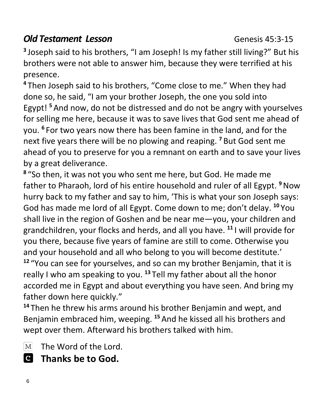# *Old Testament Lesson* Genesis 45:3-15

**3** Joseph said to his brothers, "I am Joseph! Is my father still living?" But his brothers were not able to answer him, because they were terrified at his presence.

**<sup>4</sup>** Then Joseph said to his brothers, "Come close to me." When they had done so, he said, "I am your brother Joseph, the one you sold into Egypt! **<sup>5</sup>** And now, do not be distressed and do not be angry with yourselves for selling me here, because it was to save lives that God sent me ahead of you. **6** For two years now there has been famine in the land, and for the next five years there will be no plowing and reaping. **<sup>7</sup>** But God sent me ahead of you to preserve for you a remnant on earth and to save your lives by a great deliverance.

**8** "So then, it was not you who sent me here, but God. He made me father to Pharaoh, lord of his entire household and ruler of all Egypt. **<sup>9</sup>**Now hurry back to my father and say to him, 'This is what your son Joseph says: God has made me lord of all Egypt. Come down to me; don't delay. **<sup>10</sup>** You shall live in the region of Goshen and be near me—you, your children and grandchildren, your flocks and herds, and all you have. **<sup>11</sup>** I will provide for you there, because five years of famine are still to come. Otherwise you and your household and all who belong to you will become destitute.' **<sup>12</sup>** "You can see for yourselves, and so can my brother Benjamin, that it is really I who am speaking to you. **<sup>13</sup>** Tell my father about all the honor accorded me in Egypt and about everything you have seen. And bring my father down here quickly."

**<sup>14</sup>** Then he threw his arms around his brother Benjamin and wept, and Benjamin embraced him, weeping. **<sup>15</sup>** And he kissed all his brothers and wept over them. Afterward his brothers talked with him.

 $\boxed{\text{M}}$ The Word of the Lord.

 **Thanks be to God.**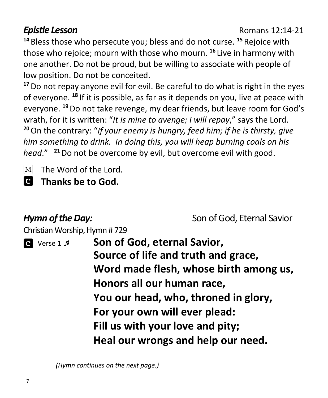### **Epistle Lesson**<br> **Epistle 12:14-21**

**<sup>14</sup>** Bless those who persecute you; bless and do not curse. **<sup>15</sup>** Rejoice with those who rejoice; mourn with those who mourn. **<sup>16</sup>** Live in harmony with one another. Do not be proud, but be willing to associate with people of low position. Do not be conceited.

**<sup>17</sup>**Do not repay anyone evil for evil. Be careful to do what is right in the eyes of everyone. **<sup>18</sup>** If it is possible, as far as it depends on you, live at peace with everyone. **<sup>19</sup>**Do not take revenge, my dear friends, but leave room for God's wrath, for it is written: "*It is mine to avenge; I will repay*," says the Lord. **<sup>20</sup>**On the contrary: "*If your enemy is hungry, feed him; if he is thirsty, give him something to drink. In doing this, you will heap burning coals on his head*." **<sup>21</sup>**Do not be overcome by evil, but overcome evil with good.

 $|M|$ The Word of the Lord.

 **Thanks be to God.**

**Hymn of the Day:** Son of God, Eternal Savior

Christian Worship, Hymn # 729

| $\bullet$ Verse 1 $\sharp$ | Son of God, eternal Savior,            |
|----------------------------|----------------------------------------|
|                            | Source of life and truth and grace,    |
|                            | Word made flesh, whose birth among us, |
|                            | Honors all our human race,             |
|                            | You our head, who, throned in glory,   |
|                            | For your own will ever plead:          |
|                            | Fill us with your love and pity;       |
|                            | Heal our wrongs and help our need.     |

 *(Hymn continues on the next page.)*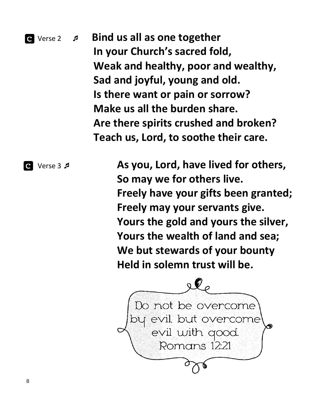

**Are there spirits crushed and broken? Teach us, Lord, to soothe their care.**

 Verse 3  **As you, Lord, have lived for others, So may we for others live. Freely have your gifts been granted; Freely may your servants give. Yours the gold and yours the silver, Yours the wealth of land and sea; We but stewards of your bounty Held in solemn trust will be.**

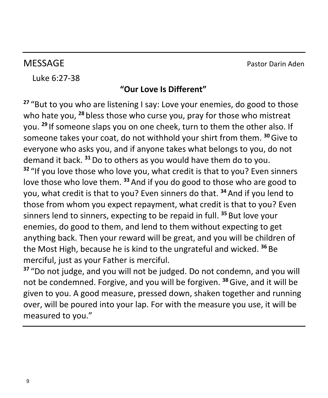MESSAGE Pastor Darin Aden

Luke 6:27-38

### **"Our Love Is Different"**

**<sup>27</sup>** "But to you who are listening I say: Love your enemies, do good to those who hate you, **<sup>28</sup>** bless those who curse you, pray for those who mistreat you. **29** If someone slaps you on one cheek, turn to them the other also. If someone takes your coat, do not withhold your shirt from them. **<sup>30</sup>**Give to everyone who asks you, and if anyone takes what belongs to you, do not demand it back. **<sup>31</sup>**Do to others as you would have them do to you. **<sup>32</sup>** "If you love those who love you, what credit is that to you? Even sinners love those who love them. **<sup>33</sup>** And if you do good to those who are good to you, what credit is that to you? Even sinners do that. **<sup>34</sup>** And if you lend to those from whom you expect repayment, what credit is that to you? Even sinners lend to sinners, expecting to be repaid in full. **<sup>35</sup>** But love your enemies, do good to them, and lend to them without expecting to get anything back. Then your reward will be great, and you will be children of the Most High, because he is kind to the ungrateful and wicked. **<sup>36</sup>** Be merciful, just as your Father is merciful.

**<sup>37</sup>** "Do not judge, and you will not be judged. Do not condemn, and you will not be condemned. Forgive, and you will be forgiven. **<sup>38</sup>**Give, and it will be given to you. A good measure, pressed down, shaken together and running over, will be poured into your lap. For with the measure you use, it will be measured to you."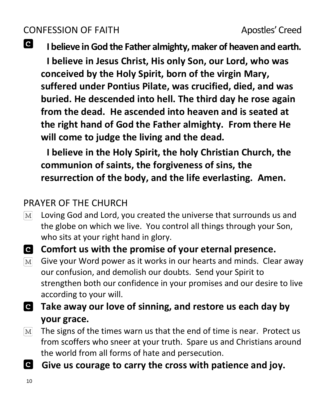# CONFESSION OF FAITH Apostles' Creed

**C** 

**I believe in God the Father almighty, maker of heaven and earth.**

**I believe in Jesus Christ, His only Son, our Lord, who was conceived by the Holy Spirit, born of the virgin Mary, suffered under Pontius Pilate, was crucified, died, and was buried. He descended into hell. The third day he rose again from the dead. He ascended into heaven and is seated at the right hand of God the Father almighty. From there He will come to judge the living and the dead.**

**I believe in the Holy Spirit, the holy Christian Church, the communion of saints, the forgiveness of sins, the resurrection of the body, and the life everlasting. Amen.**

# PRAYER OF THE CHURCH

- Loving God and Lord, you created the universe that surrounds us and  $\lceil M \rceil$ the globe on which we live. You control all things through your Son, who sits at your right hand in glory.
- **Comfort us with the promise of your eternal presence.**
- Give your Word power as it works in our hearts and minds. Clear away  $[M]$ our confusion, and demolish our doubts. Send your Spirit to strengthen both our confidence in your promises and our desire to live according to your will.
- **Take away our love of sinning, and restore us each day by your grace.**
- The signs of the times warn us that the end of time is near. Protect us  $|M|$ from scoffers who sneer at your truth. Spare us and Christians around the world from all forms of hate and persecution.
- **Give us courage to carry the cross with patience and joy.**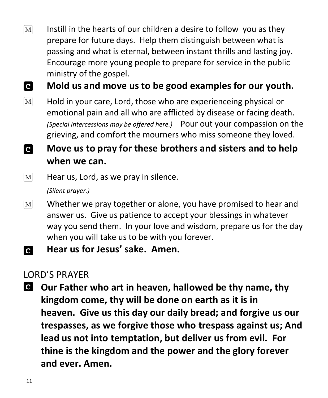$\lceil \text{M} \rceil$ Instill in the hearts of our children a desire to follow you as they prepare for future days. Help them distinguish between what is passing and what is eternal, between instant thrills and lasting joy. Encourage more young people to prepare for service in the public ministry of the gospel.

 $\overline{\mathbf{c}}$ **Mold us and move us to be good examples for our youth.**

 $\boxed{\text{M}}$ Hold in your care, Lord, those who are experienceing physical or emotional pain and all who are afflicted by disease or facing death. *(Special intercessions may be offered here.)* Pour out your compassion on the grieving, and comfort the mourners who miss someone they loved.

**Move us to pray for these brothers and sisters and to help d when we can.**

 $\lceil \text{M} \rceil$ Hear us, Lord, as we pray in silence.

*(Silent prayer.)*

- Whether we pray together or alone, you have promised to hear and  $\mathbf{M}$ answer us. Give us patience to accept your blessings in whatever way you send them. In your love and wisdom, prepare us for the day when you will take us to be with you forever.
- **Hear us for Jesus' sake. Amen. C**

### LORD'S PRAYER

**Our Father who art in heaven, hallowed be thy name, thy kingdom come, thy will be done on earth as it is in heaven. Give us this day our daily bread; and forgive us our trespasses, as we forgive those who trespass against us; And lead us not into temptation, but deliver us from evil. For thine is the kingdom and the power and the glory forever and ever. Amen.**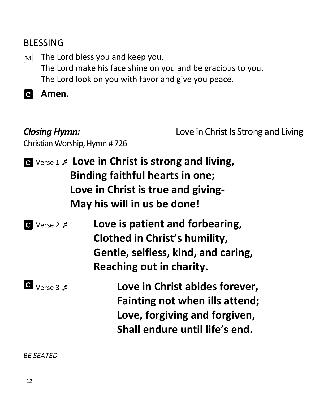## BLESSING

The Lord bless you and keep you.  $[M]$ The Lord make his face shine on you and be gracious to you. The Lord look on you with favor and give you peace.

**Amen.** 

**Closing Hymn: Love in Christ Is Strong and Living** 

Christian Worship, Hymn # 726

|          | G Verse 1 <b>s</b> Love in Christ is strong and living,<br>Binding faithful hearts in one;<br>Love in Christ is true and giving-<br>May his will in us be done! |
|----------|-----------------------------------------------------------------------------------------------------------------------------------------------------------------|
| Verse 2  | Love is patient and forbearing,<br>Clothed in Christ's humility,<br>Gentle, selfless, kind, and caring,<br>Reaching out in charity.                             |
| Verses 3 | Love in Christ abides forever,<br>Fainting not when ills attend;                                                                                                |

**Love, forgiving and forgiven, Shall endure until life's end.**

*BE SEATED*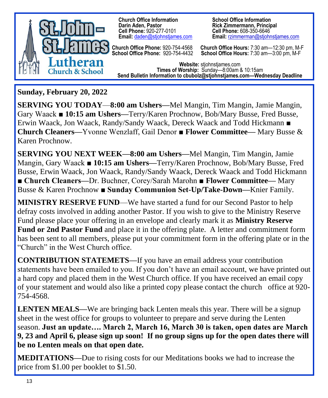

**Church Office Information**<br> **Darin Aden, Pastor**<br> **Rick Zimmermann, Principal Cell Phone: 920-277-0101<br><b>Email:** daden@stiohnstiames.com

**Rick Zimmermann, Principal<br>Cell Phone: 608-350-6646 Email: rzimmerman@stiohnstiames.com** 

**Church Office Phone:** 920-754-4568 **Church Office Hours:** 7:30 am—12:30 pm, M-F **School Office Phone:** 920-754-4432 **School Office Hours:** 7:30 am—3:00 pm, M-F ì

**Website:** stjohnstjames.com **Times of Worship:** Sunday—8:00am & 10:15am **Send Bulletin Information to cbubolz@stjohnstjames.com—Wednesday Deadline**

**Sunday, February 20, 2022**

**SERVING YOU TODAY**—**8:00 am Ushers—**Mel Mangin, Tim Mangin, Jamie Mangin, Gary Waack ■ **10:15 am Ushers—**Terry/Karen Prochnow, Bob/Mary Busse, Fred Busse, Erwin Waack, Jon Waack, Randy/Sandy Waack, Dereck Waack and Todd Hickmann **■ Church Cleaners—**Yvonne Wenzlaff, Gail Denor ■ **Flower Committee—** Mary Busse & Karen Prochnow.

**SERVING YOU NEXT WEEK—8:00 am Ushers—**Mel Mangin, Tim Mangin, Jamie Mangin, Gary Waack ■ **10:15 am Ushers—**Terry/Karen Prochnow, Bob/Mary Busse, Fred Busse, Erwin Waack, Jon Waack, Randy/Sandy Waack, Dereck Waack and Todd Hickmann **■ Church Cleaners—**Dr. Buchner, Corey/Sarah Marohn ■ **Flower Committee—** Mary Busse & Karen Prochnow **■ Sunday Communion Set-Up/Take-Down—**Knier Family.

**MINISTRY RESERVE FUND**—We have started a fund for our Second Pastor to help defray costs involved in adding another Pastor. If you wish to give to the Ministry Reserve Fund please place your offering in an envelope and clearly mark it as **Ministry Reserve Fund or 2nd Pastor Fund** and place it in the offering plate. A letter and commitment form has been sent to all members, please put your commitment form in the offering plate or in the "Church" in the West Church office.

**CONTRIBUTION STATEMETS—**If you have an email address your contribution statements have been emailed to you. If you don't have an email account, we have printed out a hard copy and placed them in the West Church office. If you have received an email copy of your statement and would also like a printed copy please contact the church office at 920- 754-4568.

**LENTEN MEALS—We are bringing back Lenten meals this year. There will be a signup** sheet in the west office for groups to volunteer to prepare and serve during the Lenten season. **Just an update…. March 2, March 16, March 30 is taken, open dates are March 9, 23 and April 6, please sign up soon! If no group signs up for the open dates there will be no Lenten meals on that open date.** 

**MEDITATIONS—**Due to rising costs for our Meditations books we had to increase the price from \$1.00 per booklet to \$1.50.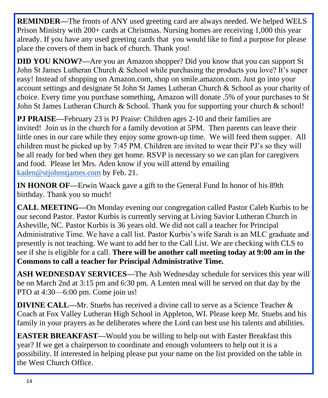**REMINDER—**The fronts of ANY used greeting card are always needed. We helped WELS Prison Ministry with 200+ cards at Christmas. Nursing homes are receiving 1,000 this year already. If you have any used greeting cards that you would like to find a purpose for please place the covers of them in back of church. Thank you!

**DID YOU KNOW?—**Are you an Amazon shopper? Did you know that you can support St John St James Lutheran Church & School while purchasing the products you love? It's super easy! Instead of shopping on Amazon.com, shop on smile.amazon.com. Just go into your account settings and designate St John St James Lutheran Church & School as your charity of choice. Every time you purchase something, Amazon will donate .5% of your purchases to St John St James Lutheran Church & School. Thank you for supporting your church & school!

**PJ PRAISE—**February 23 is PJ Praise: Children ages 2-10 and their families are invited! Join us in the church for a family devotion at 5PM. Then parents can leave their little ones in our care while they enjoy some grown-up time. We will feed them supper. All children must be picked up by 7:45 PM. Children are invited to wear their PJ's so they will be all ready for bed when they get home. RSVP is necessary so we can plan for caregivers and food. Please let Mrs. Aden know if you will attend by emailing [kaden@stjohnstjames.com](mailto:kaden@stjohnstjames.com) by Feb. 21.

**IN HONOR OF—**Erwin Waack gave a gift to the General Fund In honor of his 89th birthday. Thank you so much!

**CALL MEETING—**On Monday evening our congregation called Pastor Caleb Kurbis to be our second Pastor. Pastor Kurbis is currently serving at Living Savior Lutheran Church in Asheville, NC. Pastor Kurbis is 36 years old. We did not call a teacher for Principal Administrative Time. We have a call list. Pastor Kurbis's wife Sarah is an MLC graduate and presently is not teaching. We want to add her to the Call List. We are checking with CLS to see if she is eligible for a call. **There will be another call meeting today at 9:00 am in the Commons to call a teacher for Principal Administrative Time.**

**ASH WEDNESDAY SERVICES—**The Ash Wednesday schedule for services this year will be on March 2nd at 3:15 pm and 6:30 pm. A Lenten meal will be served on that day by the PTO at 4:30—6:00 pm. Come join us!

**DIVINE CALL—**Mr. Stuebs has received a divine call to serve as a Science Teacher & Coach at Fox Valley Lutheran High School in Appleton, WI. Please keep Mr. Stuebs and his family in your prayers as he deliberates where the Lord can best use his talents and abilities.

**EASTER BREAKFAST—**Would you be willing to help out with Easter Breakfast this year? If we get a chairperson to coordinate and enough volunteers to help out it is a possibility. If interested in helping please put your name on the list provided on the table in the West Church Office.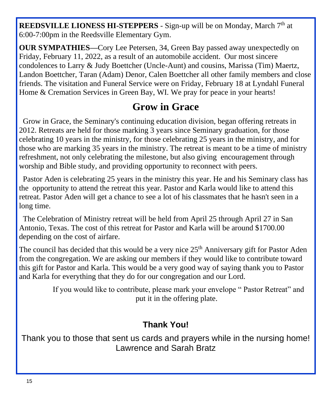**REEDSVILLE LIONESS HI-STEPPERS** - Sign-up will be on Monday, March 7<sup>th</sup> at 6:00-7:00pm in the Reedsville Elementary Gym.

**OUR SYMPATHIES—**Cory Lee Petersen, 34, Green Bay passed away unexpectedly on Friday, February 11, 2022, as a result of an automobile accident. Our most sincere condolences to Larry & Judy Boettcher (Uncle-Aunt) and cousins, Marissa (Tim) Maertz, Landon Boettcher, Taran (Adam) Denor, Calen Boettcher all other family members and close friends. The visitation and Funeral Service were on Friday, February 18 at Lyndahl Funeral Home & Cremation Services in Green Bay, WI. We pray for peace in your hearts!

# **Grow in Grace**

 Grow in Grace, the Seminary's continuing education division, began offering retreats in 2012. Retreats are held for those marking 3 years since Seminary graduation, for those celebrating 10 years in the ministry, for those celebrating 25 years in the ministry, and for those who are marking 35 years in the ministry. The retreat is meant to be a time of ministry refreshment, not only celebrating the milestone, but also giving encouragement through worship and Bible study, and providing opportunity to reconnect with peers.

 Pastor Aden is celebrating 25 years in the ministry this year. He and his Seminary class has the opportunity to attend the retreat this year. Pastor and Karla would like to attend this retreat. Pastor Aden will get a chance to see a lot of his classmates that he hasn't seen in a long time.

 The Celebration of Ministry retreat will be held from April 25 through April 27 in San Antonio, Texas. The cost of this retreat for Pastor and Karla will be around \$1700.00 depending on the cost of airfare.

The council has decided that this would be a very nice  $25<sup>th</sup>$  Anniversary gift for Pastor Aden from the congregation. We are asking our members if they would like to contribute toward this gift for Pastor and Karla. This would be a very good way of saying thank you to Pastor and Karla for everything that they do for our congregation and our Lord.

> If you would like to contribute, please mark your envelope " Pastor Retreat" and put it in the offering plate.

## **Thank You!**

Thank you to those that sent us cards and prayers while in the nursing home! Lawrence and Sarah Bratz